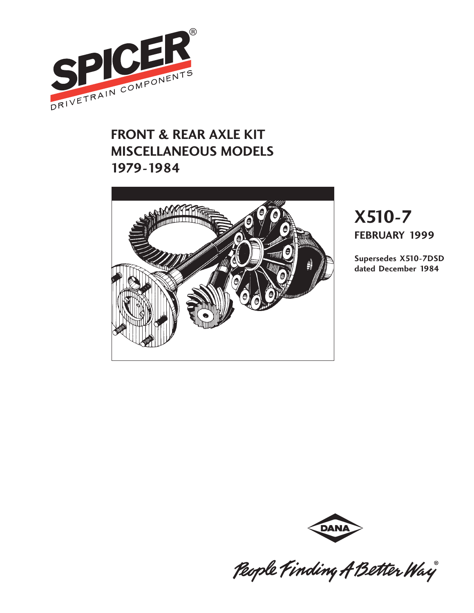

### **FRONT & REAR AXLE KIT MISCELLANEOUS MODELS 1979-1984**



# **X510-7 FEBRUARY 1999**

**Supersedes X510-7DSD dated December 1984**



People Finding A Better Way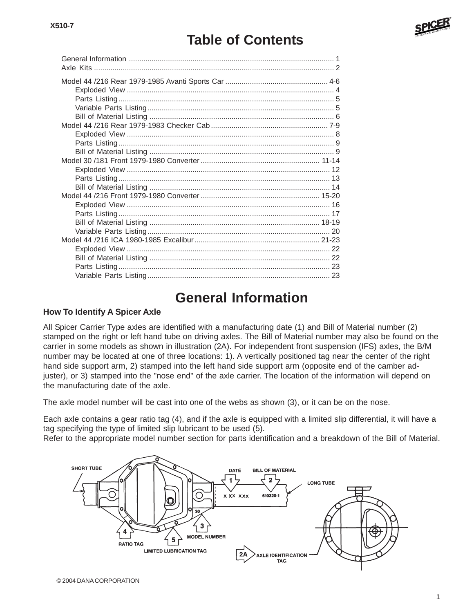## **Table of Contents**

### **General Information**

#### **How To Identify A Spicer Axle**

All Spicer Carrier Type axles are identified with a manufacturing date (1) and Bill of Material number (2) stamped on the right or left hand tube on driving axles. The Bill of Material number may also be found on the carrier in some models as shown in illustration (2A). For independent front suspension (IFS) axles, the B/M number may be located at one of three locations: 1). A vertically positioned tag near the center of the right hand side support arm, 2) stamped into the left hand side support arm (opposite end of the camber adjuster), or 3) stamped into the "nose end" of the axle carrier. The location of the information will depend on the manufacturing date of the axle.

The axle model number will be cast into one of the webs as shown (3), or it can be on the nose.

Each axle contains a gear ratio tag (4), and if the axle is equipped with a limited slip differential, it will have a tag specifying the type of limited slip lubricant to be used (5).

Refer to the appropriate model number section for parts identification and a breakdown of the Bill of Material.

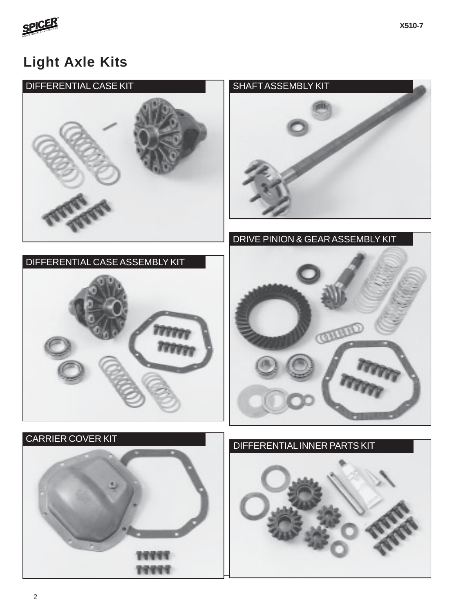

### **Light Axle Kits**



19999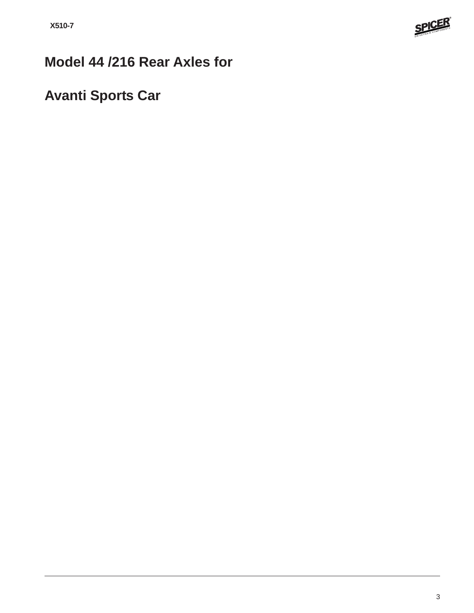

## **Model 44 /216 Rear Axles for**

## **Avanti Sports Car**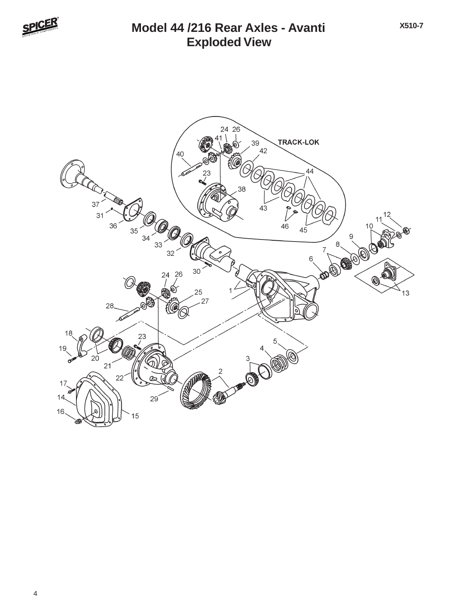

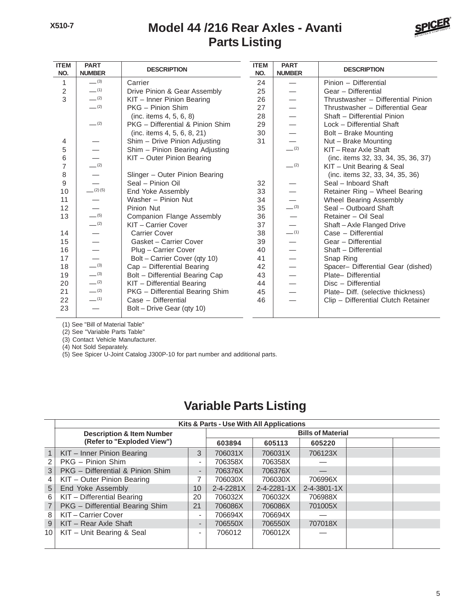#### **Parts Listing Model 44 /216 Rear Axles - Avanti**



| <b>ITEM</b><br>NO. | <b>PART</b><br><b>NUMBER</b> | <b>DESCRIPTION</b>               | <b>ITEM</b><br>NO. | <b>PART</b><br><b>NUMBER</b> | <b>DESCRIPTION</b>                  |
|--------------------|------------------------------|----------------------------------|--------------------|------------------------------|-------------------------------------|
| 1                  | $-^{(3)}$                    | Carrier                          | 24                 |                              | Pinion - Differential               |
| $\overline{c}$     | $-$ (1)                      | Drive Pinion & Gear Assembly     | 25                 |                              | Gear - Differential                 |
| 3                  | $- (2)$                      | KIT - Inner Pinion Bearing       | 26                 |                              | Thrustwasher - Differential Pinion  |
|                    | $- (2)$                      | PKG - Pinion Shim                | 27                 |                              | Thrustwasher - Differential Gear    |
|                    |                              | (inc. items 4, 5, 6, 8)          | 28                 |                              | Shaft - Differential Pinion         |
|                    | $- (2)$                      | PKG - Differential & Pinion Shim | 29                 |                              | Lock - Differential Shaft           |
|                    |                              | (inc. items 4, 5, 6, 8, 21)      | 30                 |                              | Bolt - Brake Mounting               |
| 4                  |                              | Shim - Drive Pinion Adjusting    | 31                 |                              | Nut - Brake Mounting                |
| 5                  | $\overline{\phantom{0}}$     | Shim - Pinion Bearing Adjusting  |                    | $-^{(2)}$                    | KIT - Rear Axle Shaft               |
| 6                  |                              | KIT - Outer Pinion Bearing       |                    |                              | (inc. items 32, 33, 34, 35, 36, 37) |
| 7                  | $-^{(2)}$                    |                                  |                    | $-$ (2)                      | KIT - Unit Bearing & Seal           |
| 8                  | $\overline{\phantom{0}}$     | Slinger - Outer Pinion Bearing   |                    |                              | (inc. items 32, 33, 34, 35, 36)     |
| 9                  |                              | Seal - Pinion Oil                | 32                 |                              | Seal - Inboard Shaft                |
| 10                 | (2)(5)                       | End Yoke Assembly                | 33                 |                              | Retainer Ring - Wheel Bearing       |
| 11                 |                              | Washer - Pinion Nut              | 34                 |                              | Wheel Bearing Assembly              |
| 12                 |                              | Pinion Nut                       | 35                 | $-^{(3)}$                    | Seal - Outboard Shaft               |
| 13                 | $-$ (5)                      | Companion Flange Assembly        | 36                 |                              | Retainer - Oil Seal                 |
|                    | $-^{(2)}$                    | KIT - Carrier Cover              | 37                 |                              | Shaft - Axle Flanged Drive          |
| 14                 | —                            | <b>Carrier Cover</b>             | 38                 | $-$ (1)                      | Case - Differential                 |
| 15                 |                              | Gasket - Carrier Cover           | 39                 |                              | Gear - Differential                 |
| 16                 |                              | Plug - Carrier Cover             | 40                 |                              | Shaft - Differential                |
| 17                 | $\overline{\phantom{0}}$     | Bolt - Carrier Cover (qty 10)    | 41                 |                              | Snap Ring                           |
| 18                 | $-^{(3)}$                    | Cap - Differential Bearing       | 42                 |                              | Spacer- Differential Gear (dished)  |
| 19                 | $-^{(3)}$                    | Bolt - Differential Bearing Cap  | 43                 |                              | Plate- Differential                 |
| 20                 | $-$ (2)                      | KIT - Differential Bearing       | 44                 |                              | Disc - Differential                 |
| 21                 | $- (2)$                      | PKG - Differential Bearing Shim  | 45                 |                              | Plate- Diff. (selective thickness)  |
| 22                 | $-$ (1)                      | Case - Differential              | 46                 |                              | Clip - Differential Clutch Retainer |
| 23                 |                              | Bolt – Drive Gear (qty 10)       |                    |                              |                                     |

(1) See "Bill of Material Table"

(2) See "Variable Parts Table"

(3) Contact Vehicle Manufacturer.

(4) Not Sold Separately.

(5) See Spicer U-Joint Catalog J300P-10 for part number and additional parts.

### **Variable Parts Listing**

|    | Kits & Parts - Use With All Applications |                              |           |                     |                          |  |  |  |  |  |  |  |
|----|------------------------------------------|------------------------------|-----------|---------------------|--------------------------|--|--|--|--|--|--|--|
|    | <b>Description &amp; Item Number</b>     |                              |           |                     | <b>Bills of Material</b> |  |  |  |  |  |  |  |
|    | (Refer to "Exploded View")               |                              | 603894    | 605113              | 605220                   |  |  |  |  |  |  |  |
|    | KIT - Inner Pinion Bearing               | 3                            | 706031X   | 706031X             | 706123X                  |  |  |  |  |  |  |  |
| 2  | PKG - Pinion Shim                        | $\overline{\phantom{a}}$     | 706358X   | 706358X             |                          |  |  |  |  |  |  |  |
| 3  | PKG - Differential & Pinion Shim         | ۰                            | 706376X   | 706376X             |                          |  |  |  |  |  |  |  |
| 4  | KIT - Outer Pinion Bearing               |                              | 706030X   | 706030X             | 706996X                  |  |  |  |  |  |  |  |
| 5  | End Yoke Assembly                        | 10                           | 2-4-2281X | $2 - 4 - 2281 - 1X$ | 2-4-3801-1X              |  |  |  |  |  |  |  |
| 6  | KIT - Differential Bearing               | 20                           | 706032X   | 706032X             | 706988X                  |  |  |  |  |  |  |  |
|    | PKG - Differential Bearing Shim          | 21                           | 706086X   | 706086X             | 701005X                  |  |  |  |  |  |  |  |
| 8  | KIT - Carrier Cover                      | -                            | 706694X   | 706694X             |                          |  |  |  |  |  |  |  |
| 9  | KIT - Rear Axle Shaft                    | $\qquad \qquad \blacksquare$ | 706550X   | 706550X             | 707018X                  |  |  |  |  |  |  |  |
| 10 | KIT - Unit Bearing & Seal                | $\overline{\phantom{a}}$     | 706012    | 706012X             |                          |  |  |  |  |  |  |  |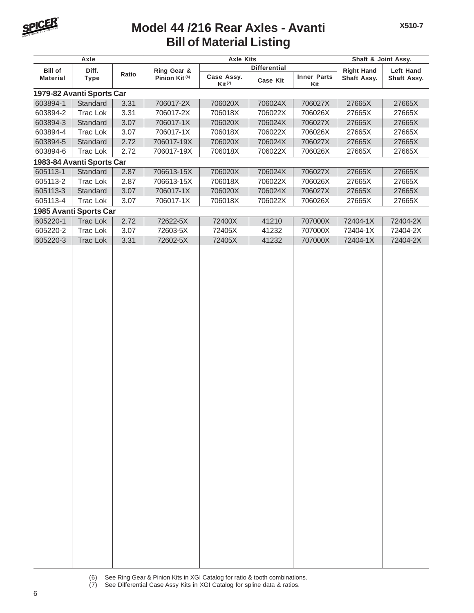

#### **Bill of Material Listing Model 44 /216 Rear Axles - Avanti**

**X510-7**

|                      | Axle                      |              | <b>Axle Kits</b>          |                           | Shaft & Joint Assy. |                           |                      |                      |
|----------------------|---------------------------|--------------|---------------------------|---------------------------|---------------------|---------------------------|----------------------|----------------------|
| <b>Bill of</b>       | Diff.                     |              | Ring Gear &               |                           | <b>Differential</b> |                           | <b>Right Hand</b>    | Left Hand            |
| <b>Material</b>      | <b>Type</b>               | Ratio        | Pinion Kit <sup>(6)</sup> | Case Assy.<br>$Kit^{(7)}$ | <b>Case Kit</b>     | <b>Inner Parts</b><br>Kit | Shaft Assy.          | Shaft Assy.          |
|                      | 1979-82 Avanti Sports Car |              |                           |                           |                     |                           |                      |                      |
| 603894-1             | Standard                  | 3.31         | 706017-2X                 | 706020X                   | 706024X             | 706027X                   | 27665X               | 27665X               |
| 603894-2             | Trac Lok                  | 3.31         | 706017-2X                 | 706018X                   | 706022X             | 706026X                   | 27665X               | 27665X               |
| 603894-3             | Standard                  | 3.07         | 706017-1X                 | 706020X                   | 706024X             | 706027X                   | 27665X               | 27665X               |
| 603894-4             | Trac Lok                  | 3.07         | 706017-1X                 | 706018X                   | 706022X             | 706026X                   | 27665X               | 27665X               |
| 603894-5             | Standard                  | 2.72         | 706017-19X                | 706020X                   | 706024X             | 706027X                   | 27665X               | 27665X               |
| 603894-6             | Trac Lok                  | 2.72         | 706017-19X                | 706018X                   | 706022X             | 706026X                   | 27665X               | 27665X               |
|                      | 1983-84 Avanti Sports Car |              |                           |                           |                     |                           |                      |                      |
| 605113-1             | Standard                  | 2.87         | 706613-15X                | 706020X                   | 706024X             | 706027X                   | 27665X               | 27665X               |
| 605113-2             | Trac Lok                  | 2.87         | 706613-15X                | 706018X                   | 706022X             | 706026X                   | 27665X               | 27665X               |
| 605113-3             | Standard                  | 3.07         | 706017-1X                 | 706020X                   | 706024X             | 706027X                   | 27665X               | 27665X               |
| 605113-4             | Trac Lok                  | 3.07         | 706017-1X                 | 706018X                   | 706022X             | 706026X                   | 27665X               | 27665X               |
|                      | 1985 Avanti Sports Car    |              |                           |                           |                     |                           |                      |                      |
| 605220-1             | <b>Trac Lok</b>           | 2.72         | 72622-5X                  | 72400X                    | 41210               | 707000X                   | 72404-1X             | 72404-2X             |
| 605220-2<br>605220-3 | Trac Lok<br>Trac Lok      | 3.07<br>3.31 | 72603-5X<br>72602-5X      | 72405X<br>72405X          | 41232<br>41232      | 707000X<br>707000X        | 72404-1X<br>72404-1X | 72404-2X<br>72404-2X |
|                      |                           |              |                           |                           |                     |                           |                      |                      |

- (6) See Ring Gear & Pinion Kits in XGI Catalog for ratio & tooth combinations.
- (7) See Differential Case Assy Kits in XGI Catalog for spline data & ratios.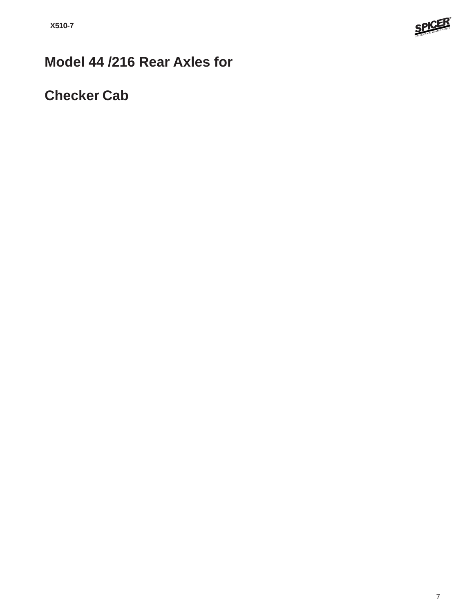

## **Model 44 /216 Rear Axles for**

### **Checker Cab**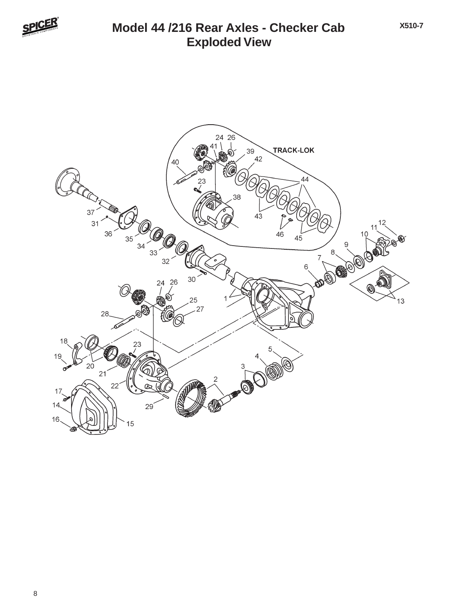

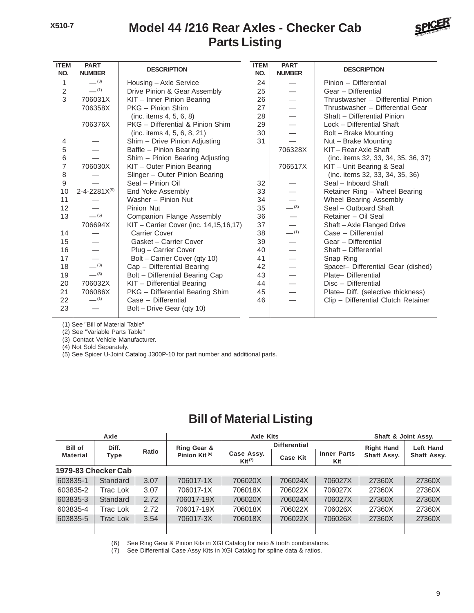#### **Parts Listing Model 44 /216 Rear Axles - Checker Cab**



| <b>ITEM</b><br>NO. | <b>PART</b><br><b>NUMBER</b> | <b>DESCRIPTION</b>                     | <b>ITEM</b><br>NO. | <b>PART</b><br><b>NUMBER</b> | <b>DESCRIPTION</b>                  |
|--------------------|------------------------------|----------------------------------------|--------------------|------------------------------|-------------------------------------|
| 1                  | $-^{(3)}$                    | Housing - Axle Service                 | 24                 |                              | Pinion - Differential               |
| $\overline{2}$     | $-^{(1)}$                    | Drive Pinion & Gear Assembly           | 25                 |                              | Gear - Differential                 |
| 3                  | 706031X                      | KIT - Inner Pinion Bearing             | 26                 |                              | Thrustwasher - Differential Pinion  |
|                    | 706358X                      | PKG - Pinion Shim                      | 27                 |                              | Thrustwasher - Differential Gear    |
|                    |                              | (inc. items 4, 5, 6, 8)                | 28                 |                              | Shaft - Differential Pinion         |
|                    | 706376X                      | PKG - Differential & Pinion Shim       | 29                 |                              | Lock - Differential Shaft           |
|                    |                              | (inc. items 4, 5, 6, 8, 21)            | 30                 |                              | Bolt - Brake Mounting               |
| 4                  |                              | Shim - Drive Pinion Adjusting          | 31                 |                              | Nut - Brake Mounting                |
| 5                  |                              | Baffle - Pinion Bearing                |                    | 706328X                      | KIT - Rear Axle Shaft               |
| 6                  |                              | Shim - Pinion Bearing Adjusting        |                    |                              | (inc. items 32, 33, 34, 35, 36, 37) |
| 7                  | 706030X                      | KIT - Outer Pinion Bearing             |                    | 706517X                      | KIT - Unit Bearing & Seal           |
| 8                  |                              | Slinger - Outer Pinion Bearing         |                    |                              | (inc. items 32, 33, 34, 35, 36)     |
| 9                  |                              | Seal - Pinion Oil                      | 32                 |                              | Seal - Inboard Shaft                |
| 10                 | $2 - 4 - 2281X^{(5)}$        | End Yoke Assembly                      | 33                 |                              | Retainer Ring - Wheel Bearing       |
| 11                 |                              | Washer - Pinion Nut                    | 34                 |                              | Wheel Bearing Assembly              |
| 12                 |                              | Pinion Nut                             | 35                 | $-$ (3)                      | Seal - Outboard Shaft               |
| 13                 | $-$ (5)                      | Companion Flange Assembly              | 36                 |                              | Retainer - Oil Seal                 |
|                    | 706694X                      | KIT - Carrier Cover (inc. 14,15,16,17) | 37                 |                              | Shaft-Axle Flanged Drive            |
| 14                 |                              | <b>Carrier Cover</b>                   | 38                 | $-$ (1)                      | Case - Differential                 |
| 15                 |                              | Gasket - Carrier Cover                 | 39                 |                              | Gear - Differential                 |
| 16                 |                              | Plug - Carrier Cover                   | 40                 |                              | Shaft - Differential                |
| 17                 |                              | Bolt - Carrier Cover (qty 10)          | 41                 |                              | Snap Ring                           |
| 18                 | $-^{(3)}$                    | Cap - Differential Bearing             | 42                 |                              | Spacer- Differential Gear (dished)  |
| 19                 | $-^{(3)}$                    | Bolt - Differential Bearing Cap        | 43                 |                              | Plate- Differential                 |
| 20                 | 706032X                      | KIT - Differential Bearing             | 44                 |                              | Disc - Differential                 |
| 21                 | 706086X                      | PKG - Differential Bearing Shim        | 45                 |                              | Plate- Diff. (selective thickness)  |
| 22                 | $-$ (1)                      | Case - Differential                    | 46                 |                              | Clip - Differential Clutch Retainer |
| 23                 |                              | Bolt - Drive Gear (qty 10)             |                    |                              |                                     |

(1) See "Bill of Material Table"

(2) See "Variable Parts Table"

(3) Contact Vehicle Manufacturer.

(4) Not Sold Separately.

(5) See Spicer U-Joint Catalog J300P-10 for part number and additional parts.

#### **Bill of Material Listing**

|                     | Axle            |       |                           | <b>Axle Kits</b>                   |                     | Shaft & Joint Assy.       |                   |                          |
|---------------------|-----------------|-------|---------------------------|------------------------------------|---------------------|---------------------------|-------------------|--------------------------|
| <b>Bill of</b>      | Diff.           |       | Ring Gear &               |                                    | <b>Differential</b> |                           | <b>Right Hand</b> | Left Hand<br>Shaft Assy. |
| <b>Material</b>     | Type            | Ratio | Pinion Kit <sup>(6)</sup> | Case Assy.<br>$\mathsf{Kit}^{(7)}$ | <b>Case Kit</b>     | <b>Inner Parts</b><br>Kit | Shaft Assy.       |                          |
| 1979-83 Checker Cab |                 |       |                           |                                    |                     |                           |                   |                          |
| 603835-1            | Standard        | 3.07  | 706017-1X                 | 706020X                            | 706024X             | 706027X                   | 27360X            | 27360X                   |
| 603835-2            | Trac Lok        | 3.07  | 706017-1X                 | 706018X                            | 706022X             | 706027X                   | 27360X            | 27360X                   |
| 603835-3            | Standard        | 2.72  | 706017-19X                | 706020X                            | 706024X             | 706027X                   | 27360X            | 27360X                   |
| 603835-4            | Trac Lok        | 2.72  | 706017-19X                | 706018X                            | 706022X             | 706026X                   | 27360X            | 27360X                   |
| 603835-5            | <b>Trac Lok</b> | 3.54  | 706017-3X                 | 706018X                            | 706022X             | 706026X                   | 27360X            | 27360X                   |
|                     |                 |       |                           |                                    |                     |                           |                   |                          |

(6) See Ring Gear & Pinion Kits in XGI Catalog for ratio & tooth combinations.

(7) See Differential Case Assy Kits in XGI Catalog for spline data & ratios.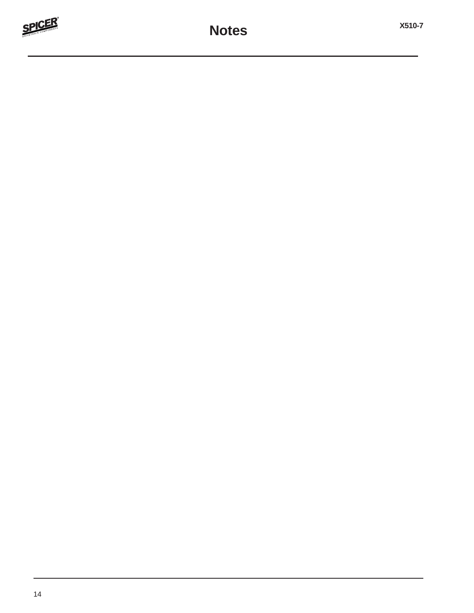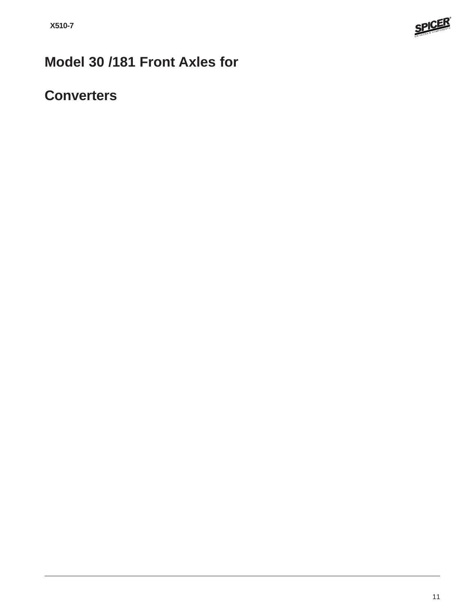

## **Model 30 /181 Front Axles for**

### **Converters**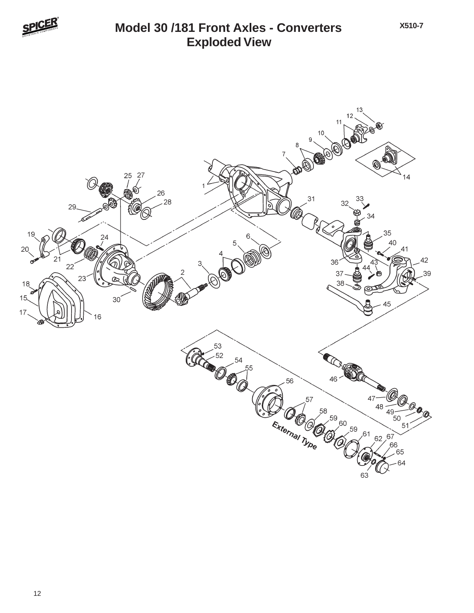

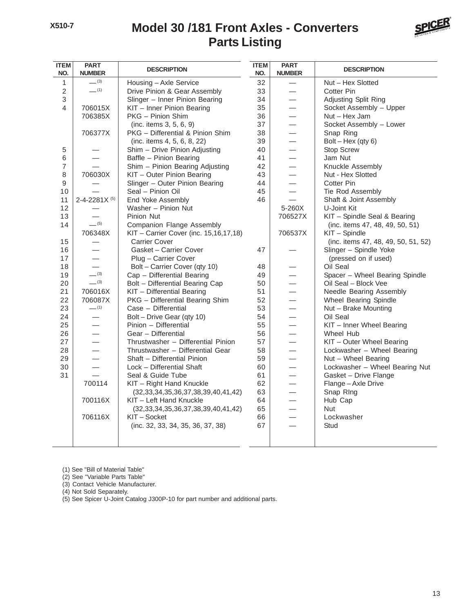#### **Parts Listing Model 30 /181 Front Axles - Converters**



| <b>ITEM</b><br>NO. | <b>PART</b><br><b>NUMBER</b> | <b>DESCRIPTION</b>                             | <b>ITEM</b><br>NO. | <b>PART</b><br><b>NUMBER</b> | <b>DESCRIPTION</b>                  |
|--------------------|------------------------------|------------------------------------------------|--------------------|------------------------------|-------------------------------------|
| 1                  | $-^{(3)}$                    | Housing - Axle Service                         | 32                 |                              | Nut - Hex Slotted                   |
| $\overline{2}$     | $-$ (1)                      | Drive Pinion & Gear Assembly                   | 33                 |                              | Cotter Pin                          |
| 3                  |                              | Slinger - Inner Pinion Bearing                 | 34                 |                              | Adjusting Split Ring                |
| 4                  | 706015X                      | KIT - Inner Pinion Bearing                     | 35                 | $\overline{\phantom{0}}$     | Socket Assembly - Upper             |
|                    | 706385X                      | PKG - Pinion Shim                              | 36                 |                              | Nut - Hex Jam                       |
|                    |                              | (inc. items 3, 5, 6, 9)                        | 37                 |                              | Socket Assembly - Lower             |
|                    | 706377X                      | PKG - Differential & Pinion Shim               | 38                 |                              | Snap Ring                           |
|                    |                              | (inc. items 4, 5, 6, 8, 22)                    | 39                 |                              | $Bolt - Hex (qty 6)$                |
| 5                  |                              | Shim - Drive Pinion Adjusting                  | 40                 |                              | <b>Stop Screw</b>                   |
| 6                  |                              | Baffle - Pinion Bearing                        | 41                 | $\overline{\phantom{0}}$     | Jam Nut                             |
| $\overline{7}$     |                              | Shim - Pinion Bearing Adjusting                | 42                 |                              | Knuckle Assembly                    |
| $\,8\,$            | 706030X                      | KIT - Outer Pinion Bearing                     | 43                 | $\overline{\phantom{0}}$     | Nut - Hex Slotted                   |
| 9                  |                              | Slinger - Outer Pinion Bearing                 | 44                 |                              | Cotter Pin                          |
| 10                 |                              | Seal - Pinion Oil                              | 45                 |                              | Tie Rod Assembly                    |
| 11                 | 2-4-2281 $X$ <sup>(5)</sup>  | End Yoke Assembly                              | 46                 | $\overline{\phantom{0}}$     | Shaft & Joint Assembly              |
| 12                 |                              | Washer - Pinion Nut                            |                    | 5-260X                       | U-Joint Kit                         |
| 13                 |                              | Pinion Nut                                     |                    | 706527X                      | KIT - Spindle Seal & Bearing        |
| 14                 | $-$ (5)                      | <b>Companion Flange Assembly</b>               |                    |                              | (inc. items 47, 48, 49, 50, 51)     |
|                    | 706348X                      | KIT - Carrier Cover (inc. 15,16,17,18)         |                    | 706537X                      | KIT - Spindle                       |
| 15                 |                              | <b>Carrier Cover</b>                           |                    |                              | (inc. items 47, 48, 49, 50, 51, 52) |
| 16                 |                              | Gasket - Carrier Cover                         | 47                 |                              | Slinger - Spindle Yoke              |
| 17                 | $\overline{\phantom{0}}$     | Plug - Carrier Cover                           |                    |                              | (pressed on if used)                |
| 18                 | $\overline{\phantom{0}}$     | Bolt - Carrier Cover (qty 10)                  | 48                 |                              | Oil Seal                            |
| 19                 | $-^{(3)}$                    | Cap - Differential Bearing                     | 49                 |                              | Spacer - Wheel Bearing Spindle      |
| 20                 | $-^{(3)}$                    | Bolt - Differential Bearing Cap                | 50                 |                              | Oil Seal - Block Vee                |
| 21                 | 706016X                      | KIT - Differential Bearing                     | 51                 |                              | Needle Bearing Assembly             |
| 22                 | 706087X                      | PKG - Differential Bearing Shim                | 52                 | $\overline{\phantom{0}}$     | Wheel Bearing Spindle               |
| 23                 | $-$ (1)                      | Case - Differential                            | 53                 | $\overline{\phantom{0}}$     | Nut - Brake Mounting                |
| 24                 |                              | Bolt - Drive Gear (qty 10)                     | 54                 | $\overline{\phantom{0}}$     | Oil Seal                            |
| 25                 |                              | Pinion - Differential                          | 55                 |                              | KIT - Inner Wheel Bearing           |
| 26                 | $\overline{\phantom{0}}$     | Gear - Differential                            | 56                 | $\overline{\phantom{0}}$     | Wheel Hub                           |
| 27                 |                              | Thrustwasher - Differential Pinion             | 57                 | $\overline{\phantom{0}}$     | KIT - Outer Wheel Bearing           |
| 28                 | $\overline{\phantom{0}}$     | Thrustwasher - Differential Gear               | 58                 | $\overline{\phantom{0}}$     | Lockwasher - Wheel Bearing          |
| 29                 |                              | Shaft - Differential Pinion                    | 59                 |                              | Nut - Wheel Bearing                 |
| 30                 |                              | Lock - Differential Shaft                      | 60                 | $\overline{\phantom{0}}$     | Lockwasher - Wheel Bearing Nut      |
| 31                 |                              | Seal & Guide Tube                              | 61                 | $\overline{\phantom{0}}$     | Gasket - Drive Flange               |
|                    | 700114                       | KIT - Right Hand Knuckle                       | 62                 |                              | Flange - Axle Drive                 |
|                    |                              | $(32, 33, 34, 35, 36, 37, 38, 39, 40, 41, 42)$ | 63                 | $\overline{\phantom{0}}$     | Snap Ring                           |
|                    | 700116X                      | KIT - Left Hand Knuckle                        | 64                 |                              | Hub Cap                             |
|                    |                              | $(32, 33, 34, 35, 36, 37, 38, 39, 40, 41, 42)$ | 65                 | $\overline{\phantom{0}}$     | <b>Nut</b>                          |
|                    | 706116X                      | KIT - Socket                                   | 66                 | $\overline{\phantom{0}}$     | Lockwasher                          |
|                    |                              | (inc. 32, 33, 34, 35, 36, 37, 38)              | 67                 | $\overline{\phantom{0}}$     | Stud                                |
|                    |                              |                                                |                    |                              |                                     |
|                    |                              |                                                |                    |                              |                                     |

(1) See "Bill of Material Table"

(2) See "Variable Parts Table"

(3) Contact Vehicle Manufacturer.

(4) Not Sold Separately.

(5) See Spicer U-Joint Catalog J300P-10 for part number and additional parts.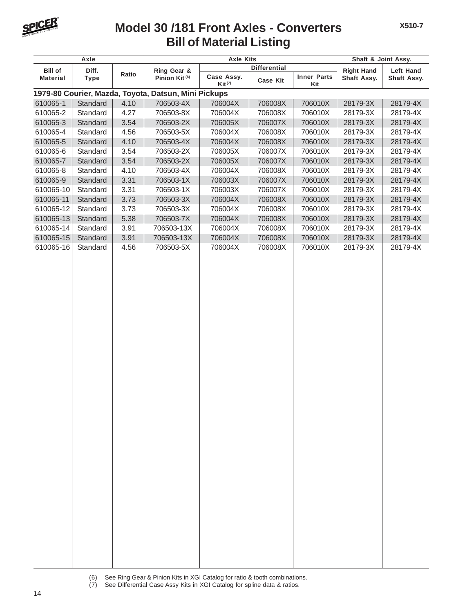

#### **Bill of Material Listing Model 30 /181 Front Axles - Converters**

**X510-7**

|                 | Axle        |       |                                                      | <b>Axle Kits</b>          |                     |                           | Shaft & Joint Assy. |                  |
|-----------------|-------------|-------|------------------------------------------------------|---------------------------|---------------------|---------------------------|---------------------|------------------|
| <b>Bill of</b>  | Diff.       |       | Ring Gear &                                          |                           | <b>Differential</b> |                           | <b>Right Hand</b>   | <b>Left Hand</b> |
| <b>Material</b> | <b>Type</b> | Ratio | Pinion Kit <sup>(6)</sup>                            | Case Assy.<br>$Kit^{(7)}$ | <b>Case Kit</b>     | <b>Inner Parts</b><br>Kit | Shaft Assy.         | Shaft Assy.      |
|                 |             |       | 1979-80 Courier, Mazda, Toyota, Datsun, Mini Pickups |                           |                     |                           |                     |                  |
| 610065-1        | Standard    | 4.10  | 706503-4X                                            | 706004X                   | 706008X             | 706010X                   | 28179-3X            | 28179-4X         |
| 610065-2        | Standard    | 4.27  | 706503-8X                                            | 706004X                   | 706008X             | 706010X                   | 28179-3X            | 28179-4X         |
| 610065-3        | Standard    | 3.54  | 706503-2X                                            | 706005X                   | 706007X             | 706010X                   | 28179-3X            | 28179-4X         |
| 610065-4        | Standard    | 4.56  | 706503-5X                                            | 706004X                   | 706008X             | 706010X                   | 28179-3X            | 28179-4X         |
| 610065-5        | Standard    | 4.10  | 706503-4X                                            | 706004X                   | 706008X             | 706010X                   | 28179-3X            | 28179-4X         |
| 610065-6        | Standard    | 3.54  | 706503-2X                                            | 706005X                   | 706007X             | 706010X                   | 28179-3X            | 28179-4X         |
| 610065-7        | Standard    | 3.54  | 706503-2X                                            | 706005X                   | 706007X             | 706010X                   | 28179-3X            | 28179-4X         |
| 610065-8        | Standard    | 4.10  | 706503-4X                                            | 706004X                   | 706008X             | 706010X                   | 28179-3X            | 28179-4X         |
| 610065-9        | Standard    | 3.31  | 706503-1X                                            | 706003X                   | 706007X             | 706010X                   | 28179-3X            | 28179-4X         |
| 610065-10       | Standard    | 3.31  | 706503-1X                                            | 706003X                   | 706007X             | 706010X                   | 28179-3X            | 28179-4X         |
| 610065-11       | Standard    | 3.73  | 706503-3X                                            | 706004X                   | 706008X             | 706010X                   | 28179-3X            | 28179-4X         |
| 610065-12       | Standard    | 3.73  | 706503-3X                                            | 706004X                   | 706008X             | 706010X                   | 28179-3X            | 28179-4X         |
| 610065-13       | Standard    | 5.38  | 706503-7X                                            | 706004X                   | 706008X             | 706010X                   | 28179-3X            | 28179-4X         |
| 610065-14       | Standard    | 3.91  | 706503-13X                                           | 706004X                   | 706008X             | 706010X                   | 28179-3X            | 28179-4X         |
| 610065-15       | Standard    | 3.91  | 706503-13X                                           | 706004X                   | 706008X             | 706010X                   | 28179-3X            | 28179-4X         |
| 610065-16       | Standard    | 4.56  | 706503-5X                                            | 706004X                   | 706008X             | 706010X                   | 28179-3X            | 28179-4X         |
|                 |             |       |                                                      |                           |                     |                           |                     |                  |
|                 |             |       |                                                      |                           |                     |                           |                     |                  |

<sup>(6)</sup> See Ring Gear & Pinion Kits in XGI Catalog for ratio & tooth combinations.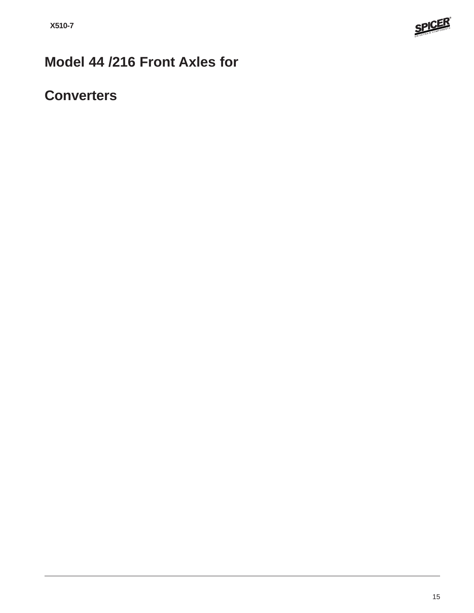

## **Model 44 /216 Front Axles for**

### **Converters**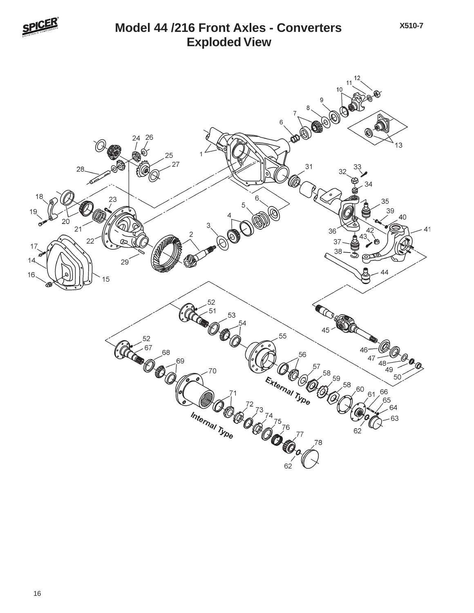

#### **Exploded View Model 44 /216 Front Axles - Converters**

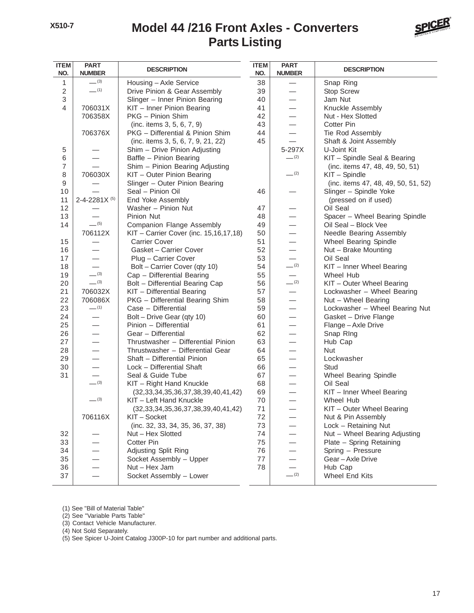#### **Parts Listing Model 44 /216 Front Axles - Converters**



| <b>ITEM</b><br>NO. | <b>PART</b><br><b>NUMBER</b> | <b>DESCRIPTION</b>                             | <b>ITEM</b><br>NO. | <b>PART</b><br><b>NUMBER</b> | <b>DESCRIPTION</b>                  |
|--------------------|------------------------------|------------------------------------------------|--------------------|------------------------------|-------------------------------------|
| 1                  | $-^{(3)}$                    | Housing - Axle Service                         | 38                 |                              | Snap Ring                           |
| $\overline{2}$     | $-$ (1)                      | Drive Pinion & Gear Assembly                   | 39                 |                              | Stop Screw                          |
| 3                  |                              | Slinger - Inner Pinion Bearing                 | 40                 |                              | Jam Nut                             |
| $\overline{4}$     | 706031X                      | KIT - Inner Pinion Bearing                     | 41                 |                              | Knuckle Assembly                    |
|                    | 706358X                      | PKG - Pinion Shim                              | 42                 |                              | Nut - Hex Slotted                   |
|                    |                              | (inc. items 3, 5, 6, 7, 9)                     | 43                 |                              | <b>Cotter Pin</b>                   |
|                    | 706376X                      | PKG - Differential & Pinion Shim               | 44                 |                              | Tie Rod Assembly                    |
|                    |                              | (inc. items 3, 5, 6, 7, 9, 21, 22)             | 45                 |                              | Shaft & Joint Assembly              |
| 5                  |                              | Shim - Drive Pinion Adjusting                  |                    | 5-297X                       | U-Joint Kit                         |
| 6                  | $\overline{\phantom{0}}$     | Baffle - Pinion Bearing                        |                    | $-^{(2)}$                    | KIT - Spindle Seal & Bearing        |
| $\overline{7}$     |                              | Shim - Pinion Bearing Adjusting                |                    |                              | (inc. items 47, 48, 49, 50, 51)     |
| 8                  | 706030X                      | KIT - Outer Pinion Bearing                     |                    | $-$ (2)                      | KIT - Spindle                       |
| 9                  |                              | Slinger - Outer Pinion Bearing                 |                    |                              | (inc. items 47, 48, 49, 50, 51, 52) |
| 10                 |                              | Seal - Pinion Oil                              | 46                 |                              | Slinger - Spindle Yoke              |
| 11                 | 2-4-2281X <sup>(5)</sup>     | End Yoke Assembly                              |                    |                              | (pressed on if used)                |
| 12                 | $\overline{\phantom{0}}$     | Washer - Pinion Nut                            | 47                 |                              | Oil Seal                            |
| 13                 |                              | Pinion Nut                                     | 48                 |                              | Spacer - Wheel Bearing Spindle      |
| 14                 | $-$ (5)                      | Companion Flange Assembly                      | 49                 |                              | Oil Seal - Block Vee                |
|                    | 706112X                      | KIT - Carrier Cover (inc. 15,16,17,18)         | 50                 |                              | Needle Bearing Assembly             |
| 15                 |                              | <b>Carrier Cover</b>                           | 51                 |                              | Wheel Bearing Spindle               |
| 16                 |                              | Gasket - Carrier Cover                         | 52                 |                              | Nut - Brake Mounting                |
| 17                 |                              | Plug - Carrier Cover                           | 53                 |                              | Oil Seal                            |
| 18                 |                              | Bolt - Carrier Cover (qty 10)                  | 54                 | $-$ (2)                      | KIT - Inner Wheel Bearing           |
| 19                 | $-^{(3)}$                    | Cap - Differential Bearing                     | 55                 | $\qquad \qquad$              | Wheel Hub                           |
| 20                 | $-^{(3)}$                    | Bolt - Differential Bearing Cap                | 56                 | $-^{(2)}$                    | KIT - Outer Wheel Bearing           |
| 21                 | 706032X                      | KIT - Differential Bearing                     | 57                 |                              | Lockwasher - Wheel Bearing          |
| 22                 | 706086X                      | PKG - Differential Bearing Shim                | 58                 |                              | Nut - Wheel Bearing                 |
| 23                 | $-$ (1)                      | Case - Differential                            | 59                 |                              | Lockwasher - Wheel Bearing Nut      |
| 24                 |                              | Bolt - Drive Gear (qty 10)                     | 60                 |                              | Gasket - Drive Flange               |
| 25                 |                              | Pinion - Differential                          | 61                 |                              | Flange - Axle Drive                 |
| 26                 |                              | Gear - Differential                            | 62                 |                              | Snap Ring                           |
| 27                 |                              | Thrustwasher - Differential Pinion             | 63                 |                              | Hub Cap                             |
| 28                 |                              | Thrustwasher - Differential Gear               | 64                 |                              | Nut                                 |
| 29                 |                              | Shaft - Differential Pinion                    | 65                 |                              | Lockwasher                          |
| 30                 | $\overline{\phantom{0}}$     | Lock - Differential Shaft                      | 66                 |                              | Stud                                |
| 31                 |                              | Seal & Guide Tube                              | 67                 |                              | Wheel Bearing Spindle               |
|                    | $- (3)$                      | KIT - Right Hand Knuckle                       | 68                 |                              | Oil Seal                            |
|                    |                              | $(32, 33, 34, 35, 36, 37, 38, 39, 40, 41, 42)$ | 69                 |                              | KIT - Inner Wheel Bearing           |
|                    | $-^{(3)}$                    | KIT - Left Hand Knuckle                        | 70                 |                              | Wheel Hub                           |
|                    |                              | $(32, 33, 34, 35, 36, 37, 38, 39, 40, 41, 42)$ | 71                 |                              | KIT - Outer Wheel Bearing           |
|                    | 706116X                      | KIT-Socket                                     | 72                 |                              | Nut & Pin Assembly                  |
|                    |                              | (inc. 32, 33, 34, 35, 36, 37, 38)              | 73                 |                              | Lock - Retaining Nut                |
| 32                 |                              | Nut - Hex Slotted                              | 74                 |                              | Nut - Wheel Bearing Adjusting       |
| 33                 |                              | <b>Cotter Pin</b>                              | 75                 |                              | Plate - Spring Retaining            |
| 34                 |                              | Adjusting Split Ring                           | 76                 |                              | Spring - Pressure                   |
| 35                 |                              | Socket Assembly - Upper                        | 77                 |                              | Gear-Axle Drive                     |
| 36                 |                              | Nut - Hex Jam                                  | 78                 |                              | Hub Cap                             |
| 37                 |                              | Socket Assembly - Lower                        |                    | $-^{(2)}$                    | Wheel End Kits                      |

(1) See "Bill of Material Table"

(2) See "Variable Parts Table"

(3) Contact Vehicle Manufacturer.

(4) Not Sold Separately.

(5) See Spicer U-Joint Catalog J300P-10 for part number and additional parts.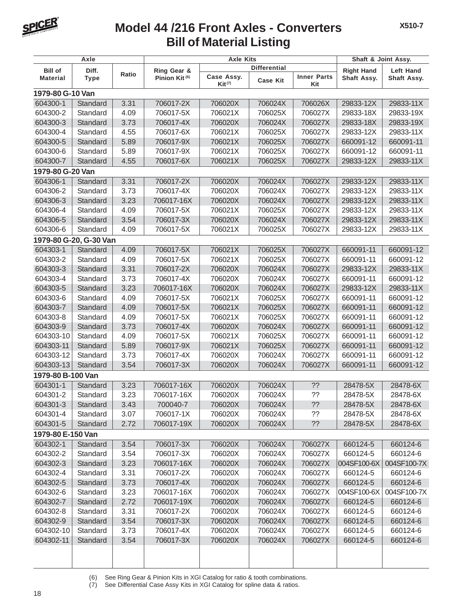

### **Bill of Material Listing Model 44 /216 Front Axles - Converters**

**X510-7**

| Axle              |                        |       | <b>Axle Kits</b>                         | Shaft & Joint Assy.       |                     |                           |                   |                          |
|-------------------|------------------------|-------|------------------------------------------|---------------------------|---------------------|---------------------------|-------------------|--------------------------|
| <b>Bill of</b>    | Diff.                  |       |                                          |                           | <b>Differential</b> |                           | <b>Right Hand</b> |                          |
| <b>Material</b>   | <b>Type</b>            | Ratio | Ring Gear &<br>Pinion Kit <sup>(6)</sup> | Case Assy.<br>$Kit^{(7)}$ | <b>Case Kit</b>     | <b>Inner Parts</b><br>Kit | Shaft Assy.       | Left Hand<br>Shaft Assy. |
| 1979-80 G-10 Van  |                        |       |                                          |                           |                     |                           |                   |                          |
| 604300-1          | Standard               | 3.31  | 706017-2X                                | 706020X                   | 706024X             | 706026X                   | 29833-12X         | 29833-11X                |
| 604300-2          | Standard               | 4.09  | 706017-5X                                | 706021X                   | 706025X             | 706027X                   | 29833-18X         | 29833-19X                |
| 604300-3          | Standard               | 3.73  | 706017-4X                                | 706020X                   | 706024X             | 706027X                   | 29833-18X         | 29833-19X                |
| 604300-4          | Standard               | 4.55  | 706017-6X                                | 706021X                   | 706025X             | 706027X                   | 29833-12X         | 29833-11X                |
| 604300-5          | Standard               | 5.89  | 706017-9X                                | 706021X                   | 706025X             | 706027X                   | 660091-12         | 660091-11                |
| 604300-6          | Standard               | 5.89  | 706017-9X                                | 706021X                   | 706025X             | 706027X                   | 660091-12         | 660091-11                |
| 604300-7          | Standard               | 4.55  | 706017-6X                                | 706021X                   | 706025X             | 706027X                   | 29833-12X         | 29833-11X                |
| 1979-80 G-20 Van  |                        |       |                                          |                           |                     |                           |                   |                          |
| 604306-1          | Standard               | 3.31  | 706017-2X                                | 706020X                   | 706024X             | 706027X                   | 29833-12X         | 29833-11X                |
| 604306-2          | Standard               | 3.73  | 706017-4X                                | 706020X                   | 706024X             | 706027X                   | 29833-12X         | 29833-11X                |
| 604306-3          | Standard               | 3.23  | 706017-16X                               | 706020X                   | 706024X             | 706027X                   | 29833-12X         | 29833-11X                |
| 604306-4          | Standard               | 4.09  | 706017-5X                                | 706021X                   | 706025X             | 706027X                   | 29833-12X         | 29833-11X                |
| 604306-5          | Standard               | 3.54  | 706017-3X                                | 706020X                   | 706024X             | 706027X                   | 29833-12X         | 29833-11X                |
| 604306-6          | Standard               | 4.09  | 706017-5X                                | 706021X                   | 706025X             | 706027X                   | 29833-12X         | 29833-11X                |
|                   | 1979-80 G-20, G-30 Van |       |                                          |                           |                     |                           |                   |                          |
| 604303-1          | Standard               | 4.09  | 706017-5X                                | 706021X                   | 706025X             | 706027X                   | 660091-11         | 660091-12                |
| 604303-2          | Standard               | 4.09  | 706017-5X                                | 706021X                   | 706025X             | 706027X                   | 660091-11         | 660091-12                |
| 604303-3          | Standard               | 3.31  | 706017-2X                                | 706020X                   | 706024X             | 706027X                   | 29833-12X         | 29833-11X                |
| 604303-4          | Standard               | 3.73  | 706017-4X                                | 706020X                   | 706024X             | 706027X                   | 660091-11         | 660091-12                |
| 604303-5          | Standard               | 3.23  | 706017-16X                               | 706020X                   | 706024X             | 706027X                   | 29833-12X         | 29833-11X                |
| 604303-6          | Standard               | 4.09  | 706017-5X                                | 706021X                   | 706025X             | 706027X                   | 660091-11         | 660091-12                |
| 604303-7          | Standard               | 4.09  | 706017-5X                                | 706021X                   | 706025X             | 706027X                   | 660091-11         | 660091-12                |
| 604303-8          | Standard               | 4.09  | 706017-5X                                | 706021X                   | 706025X             | 706027X                   | 660091-11         | 660091-12                |
| 604303-9          | Standard               | 3.73  | 706017-4X                                | 706020X                   | 706024X             | 706027X                   | 660091-11         | 660091-12                |
| 604303-10         | Standard               | 4.09  | 706017-5X                                | 706021X                   | 706025X             | 706027X                   | 660091-11         | 660091-12                |
| 604303-11         | Standard               | 5.89  | 706017-9X                                | 706021X                   | 706025X             | 706027X                   | 660091-11         | 660091-12                |
| 604303-12         | Standard               | 3.73  | 706017-4X                                | 706020X                   | 706024X             | 706027X                   | 660091-11         | 660091-12                |
| 604303-13         | Standard               | 3.54  | 706017-3X                                | 706020X                   | 706024X             | 706027X                   | 660091-11         | 660091-12                |
| 1979-80 B-100 Van |                        |       |                                          |                           |                     |                           |                   |                          |
| 604301-1          | Standard               | 3.23  | 706017-16X                               | 706020X                   | 706024X             | ??                        | 28478-5X          | 28478-6X                 |
| 604301-2          | Standard               | 3.23  | 706017-16X                               | 706020X                   | 706024X             | ??                        | 28478-5X          | 28478-6X                 |
| 604301-3          | Standard               | 3.43  | 700040-7                                 | 706020X                   | 706024X             | ??                        | 28478-5X          | 28478-6X                 |
| 604301-4          | Standard               | 3.07  | 706017-1X                                | 706020X                   | 706024X             | ??                        | 28478-5X          | 28478-6X                 |
| 604301-5          | Standard               | 2.72  | 706017-19X                               | 706020X                   | 706024X             | ??                        | 28478-5X          | 28478-6X                 |
| 1979-80 E-150 Van |                        |       |                                          |                           |                     |                           |                   |                          |
| 604302-1          | Standard               | 3.54  | 706017-3X                                | 706020X                   | 706024X             | 706027X                   | 660124-5          | 660124-6                 |
| 604302-2          | Standard               | 3.54  | 706017-3X                                | 706020X                   | 706024X             | 706027X                   | 660124-5          | 660124-6                 |
| 604302-3          | Standard               | 3.23  | 706017-16X                               | 706020X                   | 706024X             | 706027X                   | 004SF100-6X       | 004SF100-7X              |
| 604302-4          | Standard               | 3.31  | 706017-2X                                | 706020X                   | 706024X             | 706027X                   | 660124-5          | 660124-6                 |
| 604302-5          | Standard               | 3.73  | 706017-4X                                | 706020X                   | 706024X             | 706027X                   | 660124-5          | 660124-6                 |
| 604302-6          | Standard               | 3.23  | 706017-16X                               | 706020X                   | 706024X             | 706027X                   | 004SF100-6X       | 004SF100-7X              |
| 604302-7          | Standard               | 2.72  | 706017-19X                               | 706020X                   | 706024X             | 706027X                   | 660124-5          | 660124-6                 |
| 604302-8          | Standard               | 3.31  | 706017-2X                                | 706020X                   | 706024X             | 706027X                   | 660124-5          | 660124-6                 |
| 604302-9          | Standard               | 3.54  | 706017-3X                                | 706020X                   | 706024X             | 706027X                   | 660124-5          | 660124-6                 |
| 604302-10         | Standard               | 3.73  | 706017-4X                                | 706020X                   | 706024X             | 706027X                   | 660124-5          | 660124-6                 |
| 604302-11         | Standard               | 3.54  | 706017-3X                                | 706020X                   | 706024X             | 706027X                   | 660124-5          | 660124-6                 |
|                   |                        |       |                                          |                           |                     |                           |                   |                          |
|                   |                        |       |                                          |                           |                     |                           |                   |                          |

(6) See Ring Gear & Pinion Kits in XGI Catalog for ratio & tooth combinations.

(7) See Differential Case Assy Kits in XGI Catalog for spline data & ratios.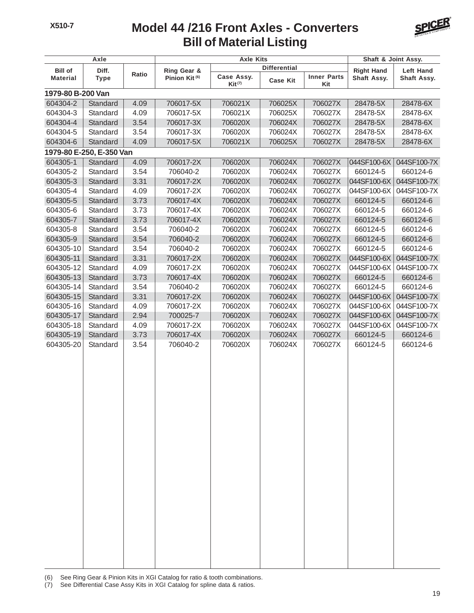#### **Bill of Material Listing Model 44 /216 Front Axles - Converters**



| Axle              |                          |       | <b>Axle Kits</b>          | Shaft & Joint Assy.                |                     |                           |                   |                  |
|-------------------|--------------------------|-------|---------------------------|------------------------------------|---------------------|---------------------------|-------------------|------------------|
| <b>Bill of</b>    | Diff.                    |       | Ring Gear &               |                                    | <b>Differential</b> |                           | <b>Right Hand</b> | <b>Left Hand</b> |
| <b>Material</b>   | <b>Type</b>              | Ratio | Pinion Kit <sup>(6)</sup> | Case Assy.<br>$\mathsf{Kit}^{(7)}$ | <b>Case Kit</b>     | <b>Inner Parts</b><br>Kit | Shaft Assy.       | Shaft Assy.      |
| 1979-80 B-200 Van |                          |       |                           |                                    |                     |                           |                   |                  |
| 604304-2          | Standard                 | 4.09  | 706017-5X                 | 706021X                            | 706025X             | 706027X                   | 28478-5X          | 28478-6X         |
| 604304-3          | Standard                 | 4.09  | 706017-5X                 | 706021X                            | 706025X             | 706027X                   | 28478-5X          | 28478-6X         |
| 604304-4          | Standard                 | 3.54  | 706017-3X                 | 706020X                            | 706024X             | 706027X                   | 28478-5X          | 28478-6X         |
| 604304-5          | Standard                 | 3.54  | 706017-3X                 | 706020X                            | 706024X             | 706027X                   | 28478-5X          | 28478-6X         |
| 604304-6          | Standard                 | 4.09  | 706017-5X                 | 706021X                            | 706025X             | 706027X                   | 28478-5X          | 28478-6X         |
|                   | 1979-80 E-250, E-350 Van |       |                           |                                    |                     |                           |                   |                  |
| 604305-1          | Standard                 | 4.09  | 706017-2X                 | 706020X                            | 706024X             | 706027X                   | 044SF100-6X       | 044SF100-7X      |
| 604305-2          | Standard                 | 3.54  | 706040-2                  | 706020X                            | 706024X             | 706027X                   | 660124-5          | 660124-6         |
| 604305-3          | Standard                 | 3.31  | 706017-2X                 | 706020X                            | 706024X             | 706027X                   | 044SF100-6X       | 044SF100-7X      |
| 604305-4          | Standard                 | 4.09  | 706017-2X                 | 706020X                            | 706024X             | 706027X                   | 044SF100-6X       | 044SF100-7X      |
| 604305-5          | Standard                 | 3.73  | 706017-4X                 | 706020X                            | 706024X             | 706027X                   | 660124-5          | 660124-6         |
| 604305-6          | Standard                 | 3.73  | 706017-4X                 | 706020X                            | 706024X             | 706027X                   | 660124-5          | 660124-6         |
| 604305-7          | Standard                 | 3.73  | 706017-4X                 | 706020X                            | 706024X             | 706027X                   | 660124-5          | 660124-6         |
| 604305-8          | Standard                 | 3.54  | 706040-2                  | 706020X                            | 706024X             | 706027X                   | 660124-5          | 660124-6         |
| 604305-9          | Standard                 | 3.54  | 706040-2                  | 706020X                            | 706024X             | 706027X                   | 660124-5          | 660124-6         |
| 604305-10         | Standard                 | 3.54  | 706040-2                  | 706020X                            | 706024X             | 706027X                   | 660124-5          | 660124-6         |
| 604305-11         | Standard                 | 3.31  | 706017-2X                 | 706020X                            | 706024X             | 706027X                   | 044SF100-6X       | 044SF100-7X      |
| 604305-12         | Standard                 | 4.09  | 706017-2X                 | 706020X                            | 706024X             | 706027X                   | 044SF100-6X       | 044SF100-7X      |
| 604305-13         | Standard                 | 3.73  | 706017-4X                 | 706020X                            | 706024X             | 706027X                   | 660124-5          | 660124-6         |
| 604305-14         | Standard                 | 3.54  | 706040-2                  | 706020X                            | 706024X             | 706027X                   | 660124-5          | 660124-6         |
| 604305-15         | Standard                 | 3.31  | 706017-2X                 | 706020X                            | 706024X             | 706027X                   | 044SF100-6X       | 044SF100-7X      |
| 604305-16         | Standard                 | 4.09  | 706017-2X                 | 706020X                            | 706024X             | 706027X                   | 044SF100-6X       | 044SF100-7X      |
| 604305-17         | Standard                 | 2.94  | 700025-7                  | 706020X                            | 706024X             | 706027X                   | 044SF100-6X       | 044SF100-7X      |
| 604305-18         | Standard                 | 4.09  | 706017-2X                 | 706020X                            | 706024X             | 706027X                   | 044SF100-6X       | 044SF100-7X      |
| 604305-19         | Standard                 | 3.73  | 706017-4X                 | 706020X                            | 706024X             | 706027X                   | 660124-5          | 660124-6         |
| 604305-20         | Standard                 | 3.54  | 706040-2                  | 706020X                            | 706024X             | 706027X                   | 660124-5          | 660124-6         |
|                   |                          |       |                           |                                    |                     |                           |                   |                  |
|                   |                          |       |                           |                                    |                     |                           |                   |                  |
|                   |                          |       |                           |                                    |                     |                           |                   |                  |
|                   |                          |       |                           |                                    |                     |                           |                   |                  |
|                   |                          |       |                           |                                    |                     |                           |                   |                  |
|                   |                          |       |                           |                                    |                     |                           |                   |                  |
|                   |                          |       |                           |                                    |                     |                           |                   |                  |
|                   |                          |       |                           |                                    |                     |                           |                   |                  |
|                   |                          |       |                           |                                    |                     |                           |                   |                  |
|                   |                          |       |                           |                                    |                     |                           |                   |                  |
|                   |                          |       |                           |                                    |                     |                           |                   |                  |
|                   |                          |       |                           |                                    |                     |                           |                   |                  |
|                   |                          |       |                           |                                    |                     |                           |                   |                  |
|                   |                          |       |                           |                                    |                     |                           |                   |                  |
|                   |                          |       |                           |                                    |                     |                           |                   |                  |
|                   |                          |       |                           |                                    |                     |                           |                   |                  |
|                   |                          |       |                           |                                    |                     |                           |                   |                  |
|                   |                          |       |                           |                                    |                     |                           |                   |                  |
|                   |                          |       |                           |                                    |                     |                           |                   |                  |
|                   |                          |       |                           |                                    |                     |                           |                   |                  |
|                   |                          |       |                           |                                    |                     |                           |                   |                  |
|                   |                          |       |                           |                                    |                     |                           |                   |                  |

(6) See Ring Gear & Pinion Kits in XGI Catalog for ratio & tooth combinations.

(7) See Differential Case Assy Kits in XGI Catalog for spline data & ratios.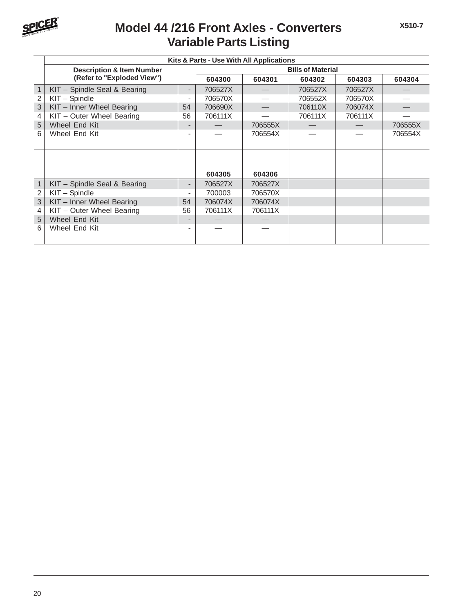

### **Variable Parts Listing Model 44 /216 Front Axles - Converters**

|              | Kits & Parts - Use With All Applications |                          |         |         |                          |         |         |  |  |  |  |  |
|--------------|------------------------------------------|--------------------------|---------|---------|--------------------------|---------|---------|--|--|--|--|--|
|              | <b>Description &amp; Item Number</b>     |                          |         |         | <b>Bills of Material</b> |         |         |  |  |  |  |  |
|              | (Refer to "Exploded View")               |                          | 604300  | 604301  | 604302                   | 604303  | 604304  |  |  |  |  |  |
| 1            | KIT - Spindle Seal & Bearing             | $\overline{\phantom{a}}$ | 706527X |         | 706527X                  | 706527X |         |  |  |  |  |  |
| 2            | KIT - Spindle                            | $\overline{\phantom{0}}$ | 706570X |         | 706552X                  | 706570X |         |  |  |  |  |  |
| 3            | KIT - Inner Wheel Bearing                | 54                       | 706690X |         | 706110X                  | 706074X |         |  |  |  |  |  |
| 4            | KIT - Outer Wheel Bearing                | 56                       | 706111X |         | 706111X                  | 706111X |         |  |  |  |  |  |
| 5            | Wheel End Kit                            |                          |         | 706555X |                          |         | 706555X |  |  |  |  |  |
| 6            | Wheel End Kit                            |                          |         | 706554X |                          |         | 706554X |  |  |  |  |  |
|              |                                          |                          |         |         |                          |         |         |  |  |  |  |  |
|              |                                          |                          |         |         |                          |         |         |  |  |  |  |  |
|              |                                          |                          |         |         |                          |         |         |  |  |  |  |  |
|              |                                          |                          | 604305  | 604306  |                          |         |         |  |  |  |  |  |
| $\mathbf{1}$ | KIT - Spindle Seal & Bearing             | $\overline{\phantom{a}}$ | 706527X | 706527X |                          |         |         |  |  |  |  |  |
| 2            | KIT - Spindle                            |                          | 700003  | 706570X |                          |         |         |  |  |  |  |  |
| 3            | KIT - Inner Wheel Bearing                | 54                       | 706074X | 706074X |                          |         |         |  |  |  |  |  |
| 4            | KIT - Outer Wheel Bearing                | 56                       | 706111X | 706111X |                          |         |         |  |  |  |  |  |
| 5            | Wheel End Kit                            |                          |         |         |                          |         |         |  |  |  |  |  |
| 6            | Wheel End Kit                            |                          |         |         |                          |         |         |  |  |  |  |  |
|              |                                          |                          |         |         |                          |         |         |  |  |  |  |  |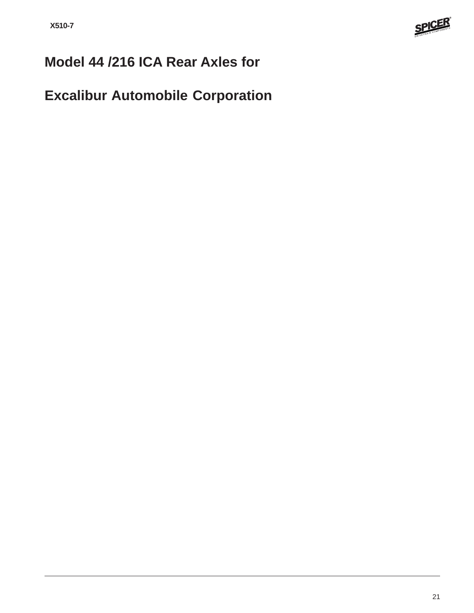

## **Model 44 /216 ICA Rear Axles for**

## **Excalibur Automobile Corporation**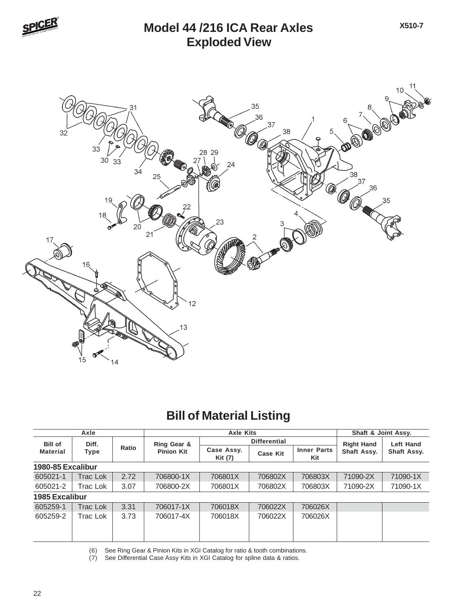

#### **Exploded View Model 44 /216 ICA Rear Axles**



### **Bill of Material Listing**

| Axle                  |                 |       | <b>Axle Kits</b>                 |                       |                 |                           | Shaft & Joint Assy. |                  |
|-----------------------|-----------------|-------|----------------------------------|-----------------------|-----------------|---------------------------|---------------------|------------------|
| <b>Bill of</b>        | Diff.<br>Type   | Ratio | Ring Gear &<br><b>Pinion Kit</b> | <b>Differential</b>   |                 |                           | <b>Right Hand</b>   | <b>Left Hand</b> |
| <b>Material</b>       |                 |       |                                  | Case Assy.<br>Kit (7) | <b>Case Kit</b> | <b>Inner Parts</b><br>Kit | Shaft Assy.         | Shaft Assy.      |
| 1980-85 Excalibur     |                 |       |                                  |                       |                 |                           |                     |                  |
| 605021-1              | <b>Trac Lok</b> | 2.72  | 706800-1X                        | 706801X               | 706802X         | 706803X                   | 71090-2X            | 71090-1X         |
| 605021-2              | Trac Lok        | 3.07  | 706800-2X                        | 706801X               | 706802X         | 706803X                   | 71090-2X            | 71090-1X         |
| <b>1985 Excalibur</b> |                 |       |                                  |                       |                 |                           |                     |                  |
| 605259-1              | <b>Trac Lok</b> | 3.31  | 706017-1X                        | 706018X               | 706022X         | 706026X                   |                     |                  |
| 605259-2              | Trac Lok        | 3.73  | 706017-4X                        | 706018X               | 706022X         | 706026X                   |                     |                  |
|                       |                 |       |                                  |                       |                 |                           |                     |                  |
|                       |                 |       |                                  |                       |                 |                           |                     |                  |

(6) See Ring Gear & Pinion Kits in XGI Catalog for ratio & tooth combinations.

(7) See Differential Case Assy Kits in XGI Catalog for spline data & ratios.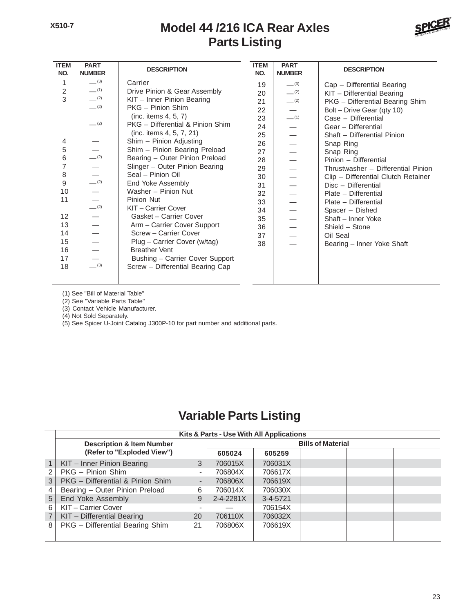#### **Model 44 /216 ICA Rear Axles Parts Listing**



| <b>ITEM</b><br>NO. | <b>PART</b><br><b>NUMBER</b>            | <b>DESCRIPTION</b>               | <b>ITEM</b><br>NO. | <b>PART</b><br><b>NUMBER</b> | <b>DESCRIPTION</b>                  |
|--------------------|-----------------------------------------|----------------------------------|--------------------|------------------------------|-------------------------------------|
| 1                  | $-^{(3)}$                               | Carrier                          | 19                 | $-^{(3)}$                    | Cap - Differential Bearing          |
| $\overline{2}$     | $-$ (1)                                 | Drive Pinion & Gear Assembly     | 20                 | $-^{(2)}$                    | KIT - Differential Bearing          |
| 3                  | $-$ (2)                                 | KIT - Inner Pinion Bearing       | 21                 | $-$ (2)                      | PKG - Differential Bearing Shim     |
|                    | $-^{(2)}$                               | PKG - Pinion Shim                | 22                 |                              | Bolt - Drive Gear (qty 10)          |
|                    |                                         | (inc. items $4, 5, 7$ )          | 23                 | $-$ (1)                      | Case - Differential                 |
|                    | $-^{(2)}$                               | PKG - Differential & Pinion Shim | 24                 |                              | Gear - Differential                 |
|                    |                                         | (inc. items 4, 5, 7, 21)         | 25                 |                              | Shaft - Differential Pinion         |
| 4                  |                                         | Shim - Pinion Adjusting          | 26                 |                              | Snap Ring                           |
| 5                  |                                         | Shim - Pinion Bearing Preload    | 27                 |                              | Snap Ring                           |
| 6                  | $-^{(2)}$                               | Bearing - Outer Pinion Preload   | 28                 |                              | Pinion - Differential               |
| 7                  | $\overline{\phantom{0}}$                | Slinger - Outer Pinion Bearing   | 29                 |                              | Thrustwasher - Differential Pinion  |
| 8                  | $\frac{\overline{\phantom{0}}}{}_{(2)}$ | Seal - Pinion Oil                | 30                 |                              | Clip - Differential Clutch Retainer |
| 9                  |                                         | End Yoke Assembly                | 31                 |                              | Disc - Differential                 |
| 10                 | $\overline{\phantom{0}}$                | Washer - Pinion Nut              | 32                 |                              | Plate - Differential                |
| 11                 |                                         | Pinion Nut                       | 33                 |                              | Plate - Differential                |
|                    | (2)                                     | KIT - Carrier Cover              | 34                 |                              | Spacer - Dished                     |
| 12                 |                                         | Gasket - Carrier Cover           | 35                 |                              | Shaft - Inner Yoke                  |
| 13                 |                                         | Arm - Carrier Cover Support      | 36                 |                              | Shield - Stone                      |
| 14                 |                                         | Screw - Carrier Cover            | 37                 |                              | Oil Seal                            |
| 15                 |                                         | Plug - Carrier Cover (w/tag)     | 38                 |                              | Bearing - Inner Yoke Shaft          |
| 16                 |                                         | <b>Breather Vent</b>             |                    |                              |                                     |
| 17                 |                                         | Bushing - Carrier Cover Support  |                    |                              |                                     |
| 18                 | $-^{(3)}$                               | Screw - Differential Bearing Cap |                    |                              |                                     |
|                    |                                         |                                  |                    |                              |                                     |

(1) See "Bill of Material Table"

(2) See "Variable Parts Table"

(3) Contact Vehicle Manufacturer.

(4) Not Sold Separately.

(5) See Spicer U-Joint Catalog J300P-10 for part number and additional parts.

#### **Variable Parts Listing**

|                 | Kits & Parts - Use With All Applications |                              |                          |                |  |  |  |
|-----------------|------------------------------------------|------------------------------|--------------------------|----------------|--|--|--|
|                 | <b>Description &amp; Item Number</b>     |                              | <b>Bills of Material</b> |                |  |  |  |
|                 | (Refer to "Exploded View")               |                              | 605024                   | 605259         |  |  |  |
|                 | KIT - Inner Pinion Bearing               | 3                            | 706015X                  | 706031X        |  |  |  |
| 2               | PKG - Pinion Shim                        | $\overline{\phantom{a}}$     | 706804X                  | 706617X        |  |  |  |
| 3               | PKG - Differential & Pinion Shim         | $\qquad \qquad \blacksquare$ | 706806X                  | 706619X        |  |  |  |
|                 | Bearing - Outer Pinion Preload           | 6                            | 706014X                  | 706030X        |  |  |  |
| $5\overline{)}$ | End Yoke Assembly                        | 9                            | $2 - 4 - 2281X$          | $3 - 4 - 5721$ |  |  |  |
| 6               | KIT - Carrier Cover                      |                              |                          | 706154X        |  |  |  |
|                 | KIT - Differential Bearing               | 20                           | 706110X                  | 706032X        |  |  |  |
| 8               | PKG - Differential Bearing Shim          | 21                           | 706806X                  | 706619X        |  |  |  |
|                 |                                          |                              |                          |                |  |  |  |